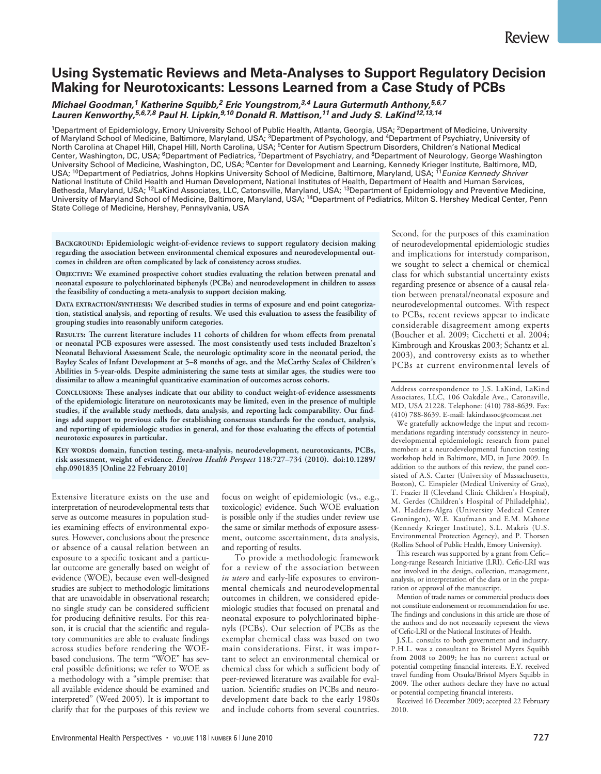# **Using Systematic Reviews and Meta-Analyses to Support Regulatory Decision Making for Neurotoxicants: Lessons Learned from a Case Study of PCBs**

## **Michael Goodman,1 Katherine Squibb,2 Eric Youngstrom,3,4 Laura Gutermuth Anthony,5,6,7 Lauren Kenworthy,5,6,7,8 Paul H. Lipkin,9,10 Donald R. Mattison,11 and Judy S. LaKind12,13,14**

<sup>1</sup>Department of Epidemiology, Emory University School of Public Health, Atlanta, Georgia, USA; <sup>2</sup>Department of Medicine, University of Maryland School of Medicine, Baltimore, Maryland, USA; <sup>3</sup>Department of Psychology, and <sup>4</sup>Department of Psychiatry, University of North Carolina at Chapel Hill, Chapel Hill, North Carolina, USA; 5Center for Autism Spectrum Disorders, Children's National Medical Center, Washington, DC, USA; <sup>6</sup>Department of Pediatrics, <sup>7</sup>Department of Psychiatry, and <sup>8</sup>Department of Neurology, George Washington University School of Medicine, Washington, DC, USA; <sup>9</sup>Center for Development and Learning, Kennedy Krieger Institute, Baltimore, MD, USA; <sup>10</sup>Department of Pediatrics, Johns Hopkins University School of Medicine, Baltimore, Maryland, USA; <sup>11</sup>Eunice Kennedy Shriver National Institute of Child Health and Human Development, National Institutes of Health, Department of Health and Human Services, Bethesda, Maryland, USA; <sup>12</sup>LaKind Associates, LLC, Catonsville, Maryland, USA; <sup>13</sup>Department of Epidemiology and Preventive Medicine, University of Maryland School of Medicine, Baltimore, Maryland, USA; 14Department of Pediatrics, Milton S. Hershey Medical Center, Penn State College of Medicine, Hershey, Pennsylvania, USA

**BACKGROUND: Epidemiologic weight-of-evidence reviews to support regulatory decision making regarding the association between environmental chemical exposures and neurodevelopmental outcomes in children are often complicated by lack of consistency across studies.**

**OBJECTIVE: We examined prospective cohort studies evaluating the relation between prenatal and neonatal exposure to polychlorinated biphenyls (PCBs) and neurodevelopment in children to assess the feasibility of conducting a meta-analysis to support decision making.**

**DATA EXTRACTION/SYNTHESIS: We described studies in terms of exposure and end point categorization, statistical analysis, and reporting of results. We used this evaluation to assess the feasibility of grouping studies into reasonably uniform categories.**

**RESULTS: !e current literature includes 11 cohorts of children for whom effects from prenatal or neonatal PCB exposures were assessed. !e most consistently used tests included Brazelton's Neonatal Behavioral Assessment Scale, the neurologic optimality score in the neonatal period, the Bayley Scales of Infant Development at 5–8 months of age, and the McCarthy Scales of Children's Abilities in 5-year-olds. Despite administering the same tests at similar ages, the studies were too dissimilar to allow a meaningful quantitative examination of outcomes across cohorts.**

**CONCLUSIONS: !ese analyses indicate that our ability to conduct weight-of-evidence assessments of the epidemiologic literature on neurotoxicants may be limited, even in the presence of multiple studies, if the available study methods, data analysis, and reporting lack comparability. Our findings add support to previous calls for establishing consensus standards for the conduct, analysis, and reporting of epidemiologic studies in general, and for those evaluating the effects of potential neurotoxic exposures in particular.**

**KEY WORDS: domain, function testing, meta-analysis, neurodevelopment, neurotoxicants, PCBs, risk assessment, weight of evidence.** *Environ Health Perspect* **118:727–734 (2010). doi:10.1289/ ehp.0901835 [Online 22 February 2010]**

Extensive literature exists on the use and interpretation of neurodevelopmental tests that serve as outcome measures in population studies examining effects of environmental exposures. However, conclusions about the presence or absence of a causal relation between an exposure to a specific toxicant and a particular outcome are generally based on weight of evidence (WOE), because even well-designed studies are subject to methodologic limitations that are unavoidable in observational research; no single study can be considered sufficient for producing definitive results. For this reason, it is crucial that the scientific and regulatory communities are able to evaluate findings across studies before rendering the WOEbased conclusions. The term "WOE" has several possible definitions; we refer to WOE as a methodology with a "simple premise: that all available evidence should be examined and interpreted" (Weed 2005). It is important to clarify that for the purposes of this review we

focus on weight of epidemiologic (vs., e.g., toxicologic) evidence. Such WOE evaluation is possible only if the studies under review use the same or similar methods of exposure assessment, outcome ascertainment, data analysis, and reporting of results.

To provide a methodologic framework for a review of the association between *in utero* and early-life exposures to environmental chemicals and neurodevelopmental outcomes in children, we considered epidemiologic studies that focused on prenatal and neonatal exposure to polychlorinated biphenyls (PCBs). Our selection of PCBs as the exemplar chemical class was based on two main considerations. First, it was important to select an environmental chemical or chemical class for which a sufficient body of peer-reviewed literature was available for evaluation. Scientific studies on PCBs and neurodevelopment date back to the early 1980s and include cohorts from several countries.

Second, for the purposes of this examination of neurodevelopmental epidemiologic studies and implications for interstudy comparison, we sought to select a chemical or chemical class for which substantial uncertainty exists regarding presence or absence of a causal relation between prenatal/neonatal exposure and neurodevelopmental outcomes. With respect to PCBs, recent reviews appear to indicate considerable disagreement among experts (Boucher et al. 2009; Cicchetti et al. 2004; Kimbrough and Krouskas 2003; Schantz et al. 2003), and controversy exists as to whether PCBs at current environmental levels of

Address correspondence to J.S. LaKind, LaKind Associates, LLC, 106 Oakdale Ave., Catonsville, MD, USA 21228. Telephone: (410) 788-8639. Fax: (410) 788-8639. E-mail: lakindassoc@comcast.net

We gratefully acknowledge the input and recommendations regarding interstudy consistency in neurodevelopmental epidemiologic research from panel members at a neurodevelopmental function testing workshop held in Baltimore, MD, in June 2009. In addition to the authors of this review, the panel consisted of A.S. Carter (University of Massachusetts, Boston), C. Einspieler (Medical University of Graz), T. Frazier II (Cleveland Clinic Children's Hospital), M. Gerdes (Children's Hospital of Philadelphia), M. Hadders-Algra (University Medical Center Groningen), W.E. Kaufmann and E.M. Mahone (Kennedy Krieger Institute), S.L. Makris (U.S. Environmental Protection Agency), and P. Thorsen (Rollins School of Public Health, Emory University).

This research was supported by a grant from Cefic-Long-range Research Initiative (LRI). Cefic-LRI was not involved in the design, collection, management, analysis, or interpretation of the data or in the preparation or approval of the manuscript.

Mention of trade names or commercial products does not constitute endorsement or recommendation for use. The findings and conclusions in this article are those of the authors and do not necessarily represent the views of Cefic-LRI or the National Institutes of Health.

J.S.L. consults to both government and industry. P.H.L. was a consultant to Bristol Myers Squibb from 2008 to 2009; he has no current actual or potential competing financial interests. E.Y. received travel funding from Otsuka/Bristol Myers Squibb in 2009. The other authors declare they have no actual or potential competing financial interests.

Received 16 December 2009; accepted 22 February 2010.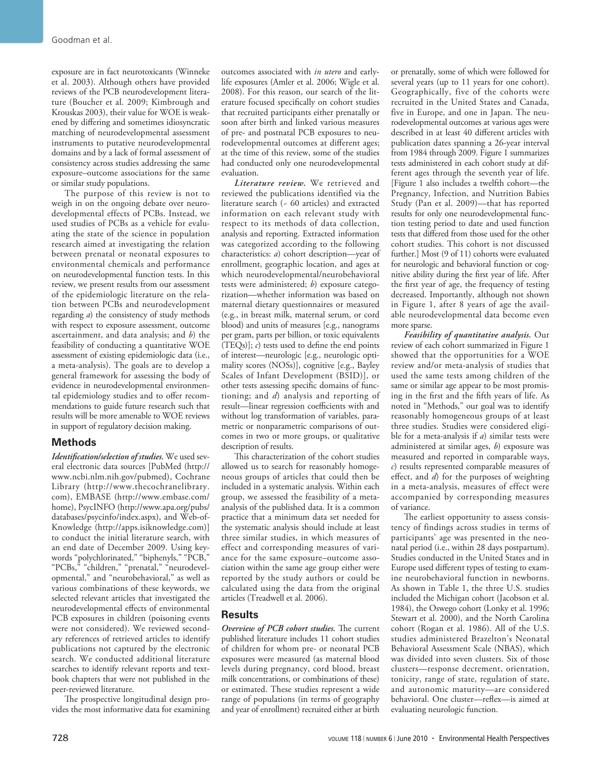exposure are in fact neurotoxicants (Winneke et al. 2003). Although others have provided reviews of the PCB neurodevelopment literature (Boucher et al. 2009; Kimbrough and Krouskas 2003), their value for WOE is weakened by differing and sometimes idiosyncratic matching of neurodevelopmental assessment instruments to putative neurodevelopmental domains and by a lack of formal assessment of consistency across studies addressing the same exposure–outcome associations for the same or similar study populations.

The purpose of this review is not to weigh in on the ongoing debate over neurodevelopmental effects of PCBs. Instead, we used studies of PCBs as a vehicle for evaluating the state of the science in population research aimed at investigating the relation between prenatal or neonatal exposures to environmental chemicals and performance on neurodevelopmental function tests. In this review, we present results from our assessment of the epidemiologic literature on the relation between PCBs and neurodevelopment regarding *a*) the consistency of study methods with respect to exposure assessment, outcome ascertainment, and data analysis; and *b*) the feasibility of conducting a quantitative WOE assessment of existing epidemiologic data (i.e., a meta-analysis). The goals are to develop a general framework for assessing the body of evidence in neurodevelopmental environmental epidemiology studies and to offer recommendations to guide future research such that results will be more amenable to WOE reviews in support of regulatory decision making.

# **Methods**

*Identification/selection of studies.* We used several electronic data sources [PubMed (http:// www.ncbi.nlm.nih.gov/pubmed), Cochrane Library (http://www.thecochranelibrary. com), EMBASE (http://www.embase.com/ home), PsycINFO (http://www.apa.org/pubs/ databases/psycinfo/index.aspx), and Web-of-Knowledge (http://apps.isiknowledge.com)] to conduct the initial literature search, with an end date of December 2009. Using keywords "polychlorinated," "biphenyls," "PCB," "PCBs," "children," "prenatal," "neurodevelopmental," and "neurobehavioral," as well as various combinations of these keywords, we selected relevant articles that investigated the neurodevelopmental effects of environmental PCB exposures in children (poisoning events were not considered). We reviewed secondary references of retrieved articles to identify publications not captured by the electronic search. We conducted additional literature searches to identify relevant reports and textbook chapters that were not published in the peer-reviewed literature.

The prospective longitudinal design provides the most informative data for examining outcomes associated with *in utero* and earlylife exposures (Amler et al. 2006; Wigle et al. 2008). For this reason, our search of the literature focused specifically on cohort studies that recruited participants either prenatally or soon after birth and linked various measures of pre- and postnatal PCB exposures to neurodevelopmental outcomes at different ages; at the time of this review, some of the studies had conducted only one neurodevelopmental evaluation.

*Literature review.* We retrieved and reviewed the publications identified via the literature search (~ 60 articles) and extracted information on each relevant study with respect to its methods of data collection, analysis and reporting. Extracted information was categorized according to the following characteristics: *a*) cohort description—year of enrollment, geographic location, and ages at which neurodevelopmental/neurobehavioral tests were administered; *b*) exposure categorization—whether information was based on maternal dietary questionnaires or measured (e.g., in breast milk, maternal serum, or cord blood) and units of measures [e.g., nanograms per gram, parts per billion, or toxic equivalents  $(TEQs)$ ;  $c$ ) tests used to define the end points of interest—neurologic [e.g., neurologic optimality scores (NOSs)], cognitive [e.g., Bayley Scales of Infant Development (BSID)], or other tests assessing specific domains of functioning; and *d*) analysis and reporting of result—linear regression coefficients with and without log transformation of variables, parametric or nonparametric comparisons of outcomes in two or more groups, or qualitative description of results.

This characterization of the cohort studies allowed us to search for reasonably homogeneous groups of articles that could then be included in a systematic analysis. Within each group, we assessed the feasibility of a metaanalysis of the published data. It is a common practice that a minimum data set needed for the systematic analysis should include at least three similar studies, in which measures of effect and corresponding measures of variance for the same exposure–outcome association within the same age group either were reported by the study authors or could be calculated using the data from the original articles (Treadwell et al. 2006).

#### **Results**

**Overview of PCB cohort studies.** The current published literature includes 11 cohort studies of children for whom pre- or neonatal PCB exposures were measured (as maternal blood levels during pregnancy, cord blood, breast milk concentrations, or combinations of these) or estimated. These studies represent a wide range of populations (in terms of geography and year of enrollment) recruited either at birth or prenatally, some of which were followed for several years (up to 11 years for one cohort). Geographically, five of the cohorts were recruited in the United States and Canada, five in Europe, and one in Japan. The neurodevelopmental outcomes at various ages were described in at least 40 different articles with publication dates spanning a 26-year interval from 1984 through 2009. Figure 1 summarizes tests administered in each cohort study at different ages through the seventh year of life. [Figure 1 also includes a twelfth cohort—the Pregnancy, Infection, and Nutrition Babies Study (Pan et al. 2009)—that has reported results for only one neurodevelopmental function testing period to date and used function tests that differed from those used for the other cohort studies. This cohort is not discussed further.] Most (9 of 11) cohorts were evaluated for neurologic and behavioral function or cognitive ability during the first year of life. After the first year of age, the frequency of testing decreased. Importantly, although not shown in Figure 1, after 8 years of age the available neurodevelopmental data become even more sparse.

*Feasibility of quantitative analysis.* Our review of each cohort summarized in Figure 1 showed that the opportunities for a WOE review and/or meta-analysis of studies that used the same tests among children of the same or similar age appear to be most promising in the first and the fifth years of life. As noted in "Methods," our goal was to identify reasonably homogeneous groups of at least three studies. Studies were considered eligible for a meta-analysis if *a*) similar tests were administered at similar ages, *b*) exposure was measured and reported in comparable ways, *c*) results represented comparable measures of effect, and *d*) for the purposes of weighting in a meta-analysis, measures of effect were accompanied by corresponding measures of variance.

The earliest opportunity to assess consistency of findings across studies in terms of participants' age was presented in the neonatal period (i.e., within 28 days postpartum). Studies conducted in the United States and in Europe used different types of testing to examine neurobehavioral function in newborns. As shown in Table 1, the three U.S. studies included the Michigan cohort (Jacobson et al. 1984), the Oswego cohort (Lonky et al. 1996; Stewart et al. 2000), and the North Carolina cohort (Rogan et al. 1986). All of the U.S. studies administered Brazelton's Neonatal Behavioral Assessment Scale (NBAS), which was divided into seven clusters. Six of those clusters—response decrement, orientation, tonicity, range of state, regulation of state, and autonomic maturity—are considered behavioral. One cluster—reflex—is aimed at evaluating neurologic function.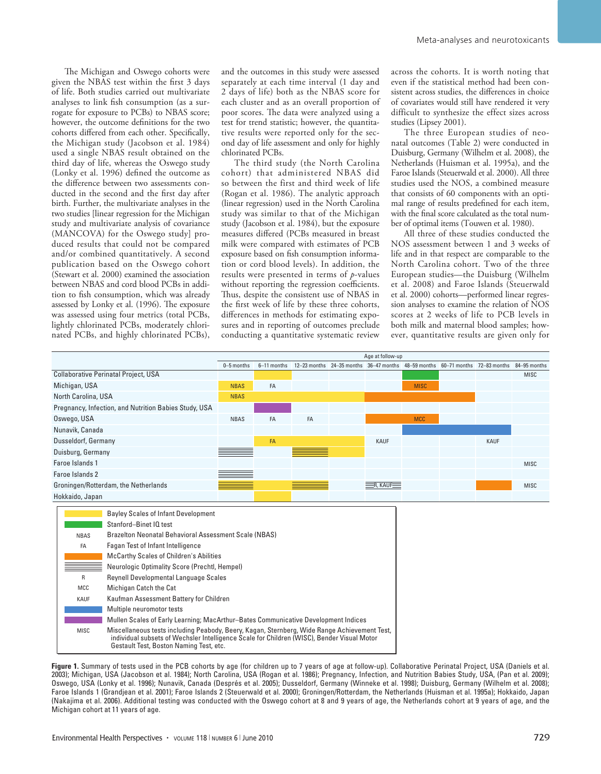The Michigan and Oswego cohorts were given the NBAS test within the first 3 days of life. Both studies carried out multivariate analyses to link fish consumption (as a surrogate for exposure to PCBs) to NBAS score; however, the outcome definitions for the two cohorts differed from each other. Specifically, the Michigan study (Jacobson et al. 1984) used a single NBAS result obtained on the third day of life, whereas the Oswego study (Lonky et al. 1996) defined the outcome as the difference between two assessments conducted in the second and the first day after birth. Further, the multivariate analyses in the two studies [linear regression for the Michigan study and multivariate analysis of covariance (MANCOVA) for the Oswego study] produced results that could not be compared and/or combined quantitatively. A second publication based on the Oswego cohort (Stewart et al. 2000) examined the association between NBAS and cord blood PCBs in addition to fish consumption, which was already assessed by Lonky et al.  $(1996)$ . The exposure was assessed using four metrics (total PCBs, lightly chlorinated PCBs, moderately chlorinated PCBs, and highly chlorinated PCBs), and the outcomes in this study were assessed separately at each time interval (1 day and 2 days of life) both as the NBAS score for each cluster and as an overall proportion of poor scores. The data were analyzed using a test for trend statistic; however, the quantitative results were reported only for the second day of life assessment and only for highly chlorinated PCBs.

The third study (the North Carolina cohort) that administered NBAS did so between the first and third week of life (Rogan et al. 1986). The analytic approach (linear regression) used in the North Carolina study was similar to that of the Michigan study (Jacobson et al. 1984), but the exposure measures differed (PCBs measured in breast milk were compared with estimates of PCB exposure based on fish consumption information or cord blood levels). In addition, the results were presented in terms of *p*-values without reporting the regression coefficients. Thus, despite the consistent use of NBAS in the first week of life by these three cohorts, differences in methods for estimating exposures and in reporting of outcomes preclude conducting a quantitative systematic review across the cohorts. It is worth noting that even if the statistical method had been consistent across studies, the differences in choice of covariates would still have rendered it very difficult to synthesize the effect sizes across studies (Lipsey 2001).

The three European studies of neonatal outcomes (Table 2) were conducted in Duisburg, Germany (Wilhelm et al. 2008), the Netherlands (Huisman et al. 1995a), and the Faroe Islands (Steuerwald et al. 2000). All three studies used the NOS, a combined measure that consists of 60 components with an optimal range of results predefined for each item, with the final score calculated as the total number of optimal items (Touwen et al. 1980).

All three of these studies conducted the NOS assessment between 1 and 3 weeks of life and in that respect are comparable to the North Carolina cohort. Two of the three European studies—the Duisburg (Wilhelm et al. 2008) and Faroe Islands (Steuerwald et al. 2000) cohorts—performed linear regression analyses to examine the relation of NOS scores at 2 weeks of life to PCB levels in both milk and maternal blood samples; however, quantitative results are given only for



**Figure 1.** Summary of tests used in the PCB cohorts by age (for children up to 7 years of age at follow-up). Collaborative Perinatal Project, USA (Daniels et al. 2003); Michigan, USA (Jacobson et al. 1984); North Carolina, USA (Rogan et al. 1986); Pregnancy, Infection, and Nutrition Babies Study, USA, (Pan et al. 2009); Oswego, USA (Lonky et al. 1996); Nunavik, Canada (Després et al. 2005); Dusseldorf, Germany (Winneke et al. 1998); Duisburg, Germany (Wilhelm et al. 2008); Faroe Islands 1 (Grandjean et al. 2001); Faroe Islands 2 (Steuerwald et al. 2000); Groningen/Rotterdam, the Netherlands (Huisman et al. 1995a); Hokkaido, Japan (Nakajima et al. 2006). Additional testing was conducted with the Oswego cohort at 8 and 9 years of age, the Netherlands cohort at 9 years of age, and the Michigan cohort at 11 years of age.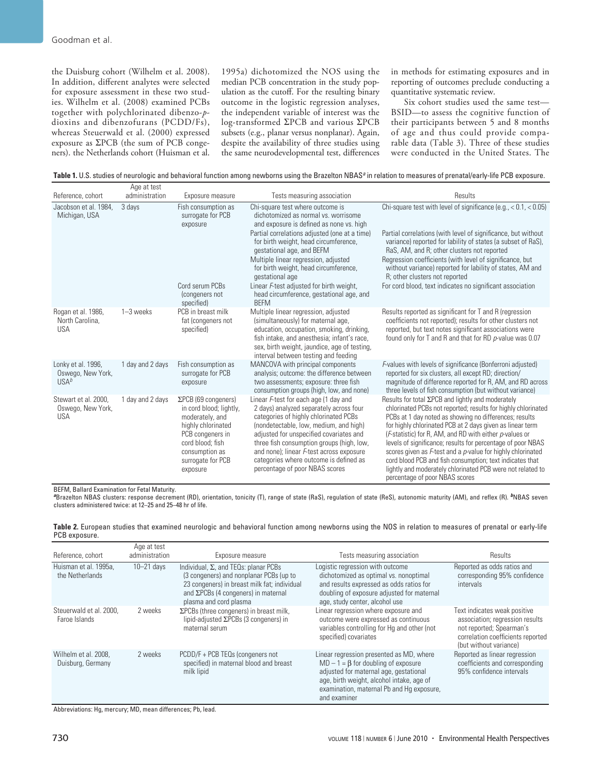the Duisburg cohort (Wilhelm et al. 2008). In addition, different analytes were selected for exposure assessment in these two studies. Wilhelm et al. (2008) examined PCBs together with polychlorinated dibenzo-*p*dioxins and dibenzofurans (PCDD/Fs), whereas Steuerwald et al. (2000) expressed exposure as  $\Sigma$ PCB (the sum of PCB congeners). the Netherlands cohort (Huisman et al.

 $A = 1$ 

1995a) dichotomized the NOS using the median PCB concentration in the study population as the cutoff. For the resulting binary outcome in the logistic regression analyses, the independent variable of interest was the  $log$ -transformed  $\Sigma$ PCB and various  $\Sigma$ PCB subsets (e.g., planar versus nonplanar). Again, despite the availability of three studies using the same neurodevelopmental test, differences

in methods for estimating exposures and in reporting of outcomes preclude conducting a quantitative systematic review.

Six cohort studies used the same test— BSID—to assess the cognitive function of their participants between 5 and 8 months of age and thus could provide comparable data (Table 3). Three of these studies were conducted in the United States. The

Table 1. U.S. studies of neurologic and behavioral function among newborns using the Brazelton NBAS<sup>a</sup> in relation to measures of prenatal/early-life PCB exposure.

| Reference, cohort                                           | Αγε αι ιεδι<br>administration | Exposure measure                                                                                                                                                                           | Tests measuring association                                                                                                                                                                                                                                                                                                                                                                                                                            | Results                                                                                                                                                                                                                                                                                                                                                                                                                                                                                                                                                                                                                 |
|-------------------------------------------------------------|-------------------------------|--------------------------------------------------------------------------------------------------------------------------------------------------------------------------------------------|--------------------------------------------------------------------------------------------------------------------------------------------------------------------------------------------------------------------------------------------------------------------------------------------------------------------------------------------------------------------------------------------------------------------------------------------------------|-------------------------------------------------------------------------------------------------------------------------------------------------------------------------------------------------------------------------------------------------------------------------------------------------------------------------------------------------------------------------------------------------------------------------------------------------------------------------------------------------------------------------------------------------------------------------------------------------------------------------|
| Jacobson et al. 1984.<br>Michigan, USA                      | 3 days                        | Fish consumption as<br>surrogate for PCB<br>exposure<br>Cord serum PCBs<br>(congeners not<br>specified)                                                                                    | Chi-square test where outcome is<br>dichotomized as normal vs. worrisome<br>and exposure is defined as none vs. high<br>Partial correlations adjusted (one at a time)<br>for birth weight, head circumference,<br>gestational age, and BEFM<br>Multiple linear regression, adjusted<br>for birth weight, head circumference,<br>gestational age<br>Linear F-test adjusted for birth weight,<br>head circumference, gestational age, and<br><b>BEFM</b> | Chi-square test with level of significance (e.g., $< 0.1$ , $< 0.05$ )<br>Partial correlations (with level of significance, but without<br>variance) reported for lability of states (a subset of RaS),<br>RaS, AM, and R; other clusters not reported<br>Regression coefficients (with level of significance, but<br>without variance) reported for lability of states, AM and<br>R; other clusters not reported<br>For cord blood, text indicates no significant association                                                                                                                                          |
| Rogan et al. 1986,<br>North Carolina,<br><b>USA</b>         | $1-3$ weeks                   | PCB in breast milk<br>fat (congeners not<br>specified)                                                                                                                                     | Multiple linear regression, adjusted<br>(simultaneously) for maternal age,<br>education, occupation, smoking, drinking,<br>fish intake, and anesthesia; infant's race,<br>sex, birth weight, jaundice, age of testing,<br>interval between testing and feeding                                                                                                                                                                                         | Results reported as significant for T and R (regression<br>coefficients not reported); results for other clusters not<br>reported, but text notes significant associations were<br>found only for T and R and that for RD p-value was 0.07                                                                                                                                                                                                                                                                                                                                                                              |
| Lonky et al. 1996,<br>Oswego, New York,<br>USA <sup>b</sup> | 1 day and 2 days              | Fish consumption as<br>surrogate for PCB<br>exposure                                                                                                                                       | MANCOVA with principal components<br>analysis; outcome: the difference between<br>two assessments; exposure: three fish<br>consumption groups (high, low, and none)                                                                                                                                                                                                                                                                                    | F-values with levels of significance (Bonferroni adjusted)<br>reported for six clusters, all except RD; direction/<br>magnitude of difference reported for R, AM, and RD across<br>three levels of fish consumption (but without variance)                                                                                                                                                                                                                                                                                                                                                                              |
| Stewart et al. 2000,<br>Oswego, New York,<br><b>USA</b>     | 1 day and 2 days              | $\Sigma$ PCB (69 congeners)<br>in cord blood; lightly,<br>moderately, and<br>highly chlorinated<br>PCB congeners in<br>cord blood; fish<br>consumption as<br>surrogate for PCB<br>exposure | Linear F-test for each age (1 day and<br>2 days) analyzed separately across four<br>categories of highly chlorinated PCBs<br>(nondetectable, low, medium, and high)<br>adjusted for unspecified covariates and<br>three fish consumption groups (high, low,<br>and none); linear F-test across exposure<br>categories where outcome is defined as<br>percentage of poor NBAS scores                                                                    | Results for total $\Sigma$ PCB and lightly and moderately<br>chlorinated PCBs not reported; results for highly chlorinated<br>PCBs at 1 day noted as showing no differences; results<br>for highly chlorinated PCB at 2 days given as linear term<br>( <i>F</i> -statistic) for R, AM, and RD with either <i>p</i> -values or<br>levels of significance; results for percentage of poor NBAS<br>scores given as F-test and a p-value for highly chlorinated<br>cord blood PCB and fish consumption; text indicates that<br>lightly and moderately chlorinated PCB were not related to<br>percentage of poor NBAS scores |

BEFM, Ballard Examination for Fetal Maturity.

**<sup>a</sup>**Brazelton NBAS clusters: response decrement (RD), orientation, tonicity (T), range of state (RaS), regulation of state (ReS), autonomic maturity (AM), and reflex (R). **b**NBAS seven clusters administered twice: at 12–25 and 25–48 hr of life.

|               |  | Table 2. European studies that examined neurologic and behavioral function among newborns using the NOS in relation to measures of prenatal or early-life |
|---------------|--|-----------------------------------------------------------------------------------------------------------------------------------------------------------|
| PCB exposure. |  |                                                                                                                                                           |

| Reference, cohort                         | Age at test<br>administration | Exposure measure                                                                                                                                                                                                 | Tests measuring association                                                                                                                                                                                                               | Results                                                                                                                                                    |
|-------------------------------------------|-------------------------------|------------------------------------------------------------------------------------------------------------------------------------------------------------------------------------------------------------------|-------------------------------------------------------------------------------------------------------------------------------------------------------------------------------------------------------------------------------------------|------------------------------------------------------------------------------------------------------------------------------------------------------------|
| Huisman et al. 1995a,<br>the Netherlands  | $10 - 21$ days                | Individual, $\Sigma$ , and TEQs: planar PCBs<br>(3 congeners) and nonplanar PCBs (up to<br>23 congeners) in breast milk fat; individual<br>and $\Sigma$ PCBs (4 congeners) in maternal<br>plasma and cord plasma | Logistic regression with outcome<br>dichotomized as optimal vs. nonoptimal<br>and results expressed as odds ratios for<br>doubling of exposure adjusted for maternal<br>age, study center, alcohol use                                    | Reported as odds ratios and<br>corresponding 95% confidence<br>intervals                                                                                   |
| Steuerwald et al. 2000.<br>Faroe Islands  | 2 weeks                       | $\Sigma$ PCBs (three congeners) in breast milk,<br>lipid-adjusted $\Sigma$ PCBs (3 congeners) in<br>maternal serum                                                                                               | Linear regression where exposure and<br>outcome were expressed as continuous<br>variables controlling for Hg and other (not<br>specified) covariates                                                                                      | Text indicates weak positive<br>association; regression results<br>not reported; Spearman's<br>correlation coefficients reported<br>(but without variance) |
| Wilhelm et al. 2008,<br>Duisburg, Germany | 2 weeks                       | PCDD/F + PCB TEQs (congeners not<br>specified) in maternal blood and breast<br>milk lipid                                                                                                                        | Linear regression presented as MD, where<br>$MD - 1 = \beta$ for doubling of exposure<br>adjusted for maternal age, gestational<br>age, birth weight, alcohol intake, age of<br>examination, maternal Pb and Hq exposure,<br>and examiner | Reported as linear regression<br>coefficients and corresponding<br>95% confidence intervals                                                                |

Abbreviations: Hg, mercury; MD, mean differences; Pb, lead.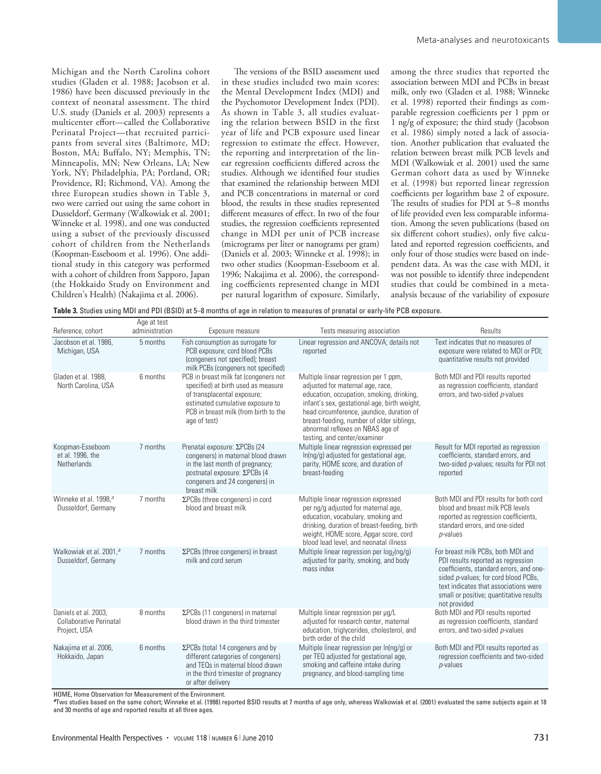Michigan and the North Carolina cohort studies (Gladen et al. 1988; Jacobson et al. 1986) have been discussed previously in the context of neonatal assessment. The third U.S. study (Daniels et al. 2003) represents a multicenter effort—called the Collaborative Perinatal Project—that recruited participants from several sites (Baltimore, MD; Boston, MA; Buffalo, NY; Memphis, TN; Minneapolis, MN; New Orleans, LA; New York, NY; Philadelphia, PA; Portland, OR; Providence, RI; Richmond, VA). Among the three European studies shown in Table 3, two were carried out using the same cohort in Dusseldorf, Germany (Walkowiak et al. 2001; Winneke et al. 1998), and one was conducted using a subset of the previously discussed cohort of children from the Netherlands (Koopman-Esseboom et al. 1996). One additional study in this category was performed with a cohort of children from Sapporo, Japan (the Hokkaido Study on Environment and Children's Health) (Nakajima et al. 2006).

The versions of the BSID assessment used in these studies included two main scores: the Mental Development Index (MDI) and the Psychomotor Development Index (PDI). As shown in Table 3, all studies evaluating the relation between BSID in the first year of life and PCB exposure used linear regression to estimate the effect. However, the reporting and interpretation of the linear regression coefficients differed across the studies. Although we identified four studies that examined the relationship between MDI and PCB concentrations in maternal or cord blood, the results in these studies represented different measures of effect. In two of the four studies, the regression coefficients represented change in MDI per unit of PCB increase (micrograms per liter or nanograms per gram) (Daniels et al. 2003; Winneke et al. 1998); in two other studies (Koopman-Esseboom et al. 1996; Nakajima et al. 2006), the corresponding coefficients represented change in MDI per natural logarithm of exposure. Similarly, among the three studies that reported the association between MDI and PCBs in breast milk, only two (Gladen et al. 1988; Winneke et al. 1998) reported their findings as comparable regression coefficients per 1 ppm or 1 ng/g of exposure; the third study (Jacobson et al. 1986) simply noted a lack of association. Another publication that evaluated the relation between breast milk PCB levels and MDI (Walkowiak et al. 2001) used the same German cohort data as used by Winneke et al. (1998) but reported linear regression coefficients per logarithm base 2 of exposure. The results of studies for PDI at 5–8 months of life provided even less comparable information. Among the seven publications (based on six different cohort studies), only five calculated and reported regression coefficients, and only four of those studies were based on independent data. As was the case with MDI, it was not possible to identify three independent studies that could be combined in a metaanalysis because of the variability of exposure

**Table 3.** Studies using MDI and PDI (BSID) at 5–8 months of age in relation to measures of prenatal or early-life PCB exposure.

| Reference, cohort                                                      | Age at test<br>administration | Exposure measure                                                                                                                                                                                         | Tests measuring association                                                                                                                                                                                                                                                                                                          | Results                                                                                                                                                                                                                                                         |
|------------------------------------------------------------------------|-------------------------------|----------------------------------------------------------------------------------------------------------------------------------------------------------------------------------------------------------|--------------------------------------------------------------------------------------------------------------------------------------------------------------------------------------------------------------------------------------------------------------------------------------------------------------------------------------|-----------------------------------------------------------------------------------------------------------------------------------------------------------------------------------------------------------------------------------------------------------------|
| Jacobson et al. 1986.<br>Michigan, USA                                 | 5 months                      | Fish consumption as surrogate for<br>PCB exposure; cord blood PCBs<br>(congeners not specified); breast<br>milk PCBs (congeners not specified)                                                           | Linear regression and ANCOVA; details not<br>reported                                                                                                                                                                                                                                                                                | Text indicates that no measures of<br>exposure were related to MDI or PDI;<br>quantitative results not provided                                                                                                                                                 |
| Gladen et al. 1988.<br>North Carolina, USA                             | 6 months                      | PCB in breast milk fat (congeners not<br>specified) at birth used as measure<br>of transplacental exposure;<br>estimated cumulative exposure to<br>PCB in breast milk (from birth to the<br>age of test) | Multiple linear regression per 1 ppm,<br>adjusted for maternal age, race,<br>education, occupation, smoking, drinking,<br>infant's sex, gestational age, birth weight,<br>head circumference, jaundice, duration of<br>breast-feeding, number of older siblings,<br>abnormal reflexes on NBAS age of<br>testing, and center/examiner | Both MDI and PDI results reported<br>as regression coefficients, standard<br>errors, and two-sided p-values                                                                                                                                                     |
| Koopman-Esseboom<br>et al. 1996, the<br>Netherlands                    | 7 months                      | Prenatal exposure: ΣΡCBs (24<br>congeners) in maternal blood drawn<br>in the last month of pregnancy;<br>postnatal exposure: ΣPCBs (4<br>congeners and 24 congeners) in<br>breast milk                   | Multiple linear regression expressed per<br>In(ng/g) adjusted for gestational age,<br>parity, HOME score, and duration of<br>breast-feeding                                                                                                                                                                                          | Result for MDI reported as regression<br>coefficients, standard errors, and<br>two-sided p-values; results for PDI not<br>reported                                                                                                                              |
| Winneke et al. 1998, <sup>a</sup><br>Dusseldorf, Germany               | 7 months                      | ΣPCBs (three congeners) in cord<br>blood and breast milk                                                                                                                                                 | Multiple linear regression expressed<br>per ng/g adjusted for maternal age,<br>education, vocabulary, smoking and<br>drinking, duration of breast-feeding, birth<br>weight, HOME score, Apgar score, cord<br>blood lead level, and neonatal illness                                                                                  | Both MDI and PDI results for both cord<br>blood and breast milk PCB levels<br>reported as regression coefficients,<br>standard errors, and one-sided<br>p-values                                                                                                |
| Walkowiak et al. 2001, <sup>a</sup><br>Dusseldorf, Germany             | 7 months                      | $\Sigma$ PCBs (three congeners) in breast<br>milk and cord serum                                                                                                                                         | Multiple linear regression per log <sub>2</sub> (ng/g)<br>adjusted for parity, smoking, and body<br>mass index                                                                                                                                                                                                                       | For breast milk PCBs, both MDI and<br>PDI results reported as regression<br>coefficients, standard errors, and one-<br>sided p-values; for cord blood PCBs,<br>text indicates that associations were<br>small or positive; quantitative results<br>not provided |
| Daniels et al. 2003,<br><b>Collaborative Perinatal</b><br>Project, USA | 8 months                      | ΣPCBs (11 congeners) in maternal<br>blood drawn in the third trimester                                                                                                                                   | Multiple linear regression per µg/L<br>adjusted for research center, maternal<br>education, triglycerides, cholesterol, and<br>birth order of the child                                                                                                                                                                              | Both MDI and PDI results reported<br>as regression coefficients, standard<br>errors, and two-sided p-values                                                                                                                                                     |
| Nakajima et al. 2006,<br>Hokkaido, Japan                               | 6 months                      | $\Sigma$ PCBs (total 14 congeners and by<br>different categories of congeners)<br>and TEQs in maternal blood drawn<br>in the third trimester of pregnancy<br>or after delivery                           | Multiple linear regression per ln(ng/g) or<br>per TEQ adjusted for gestational age,<br>smoking and caffeine intake during<br>pregnancy, and blood-sampling time                                                                                                                                                                      | Both MDI and PDI results reported as<br>regression coefficients and two-sided<br>$p$ -values                                                                                                                                                                    |

HOME, Home Observation for Measurement of the Environment.

**<sup>a</sup>**Two studies based on the same cohort; Winneke et al. (1998) reported BSID results at 7 months of age only, whereas Walkowiak et al. (2001) evaluated the same subjects again at 18 and 30 months of age and reported results at all three ages.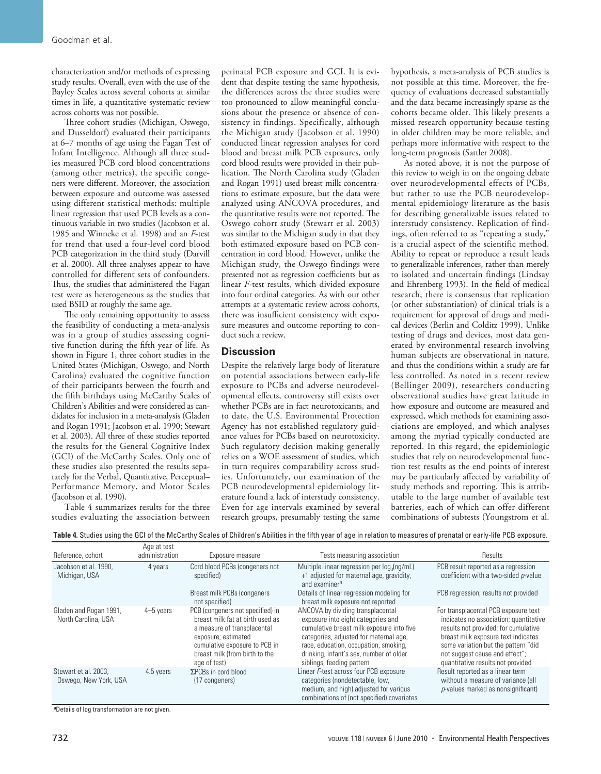characterization and/or methods of expressing study results. Overall, even with the use of the Bayley Scales across several cohorts at similar times in life, a quantitative systematic review across cohorts was not possible.

Three cohort studies (Michigan, Oswego, and Dusseldorf) evaluated their participants at 6–7 months of age using the Fagan Test of Infant Intelligence. Although all three studies measured PCB cord blood concentrations (among other metrics), the specific congeners were different. Moreover, the association between exposure and outcome was assessed using different statistical methods: multiple linear regression that used PCB levels as a continuous variable in two studies (Jacobson et al. 1985 and Winneke et al. 1998) and an *F*-test for trend that used a four-level cord blood PCB categorization in the third study (Darvill et al. 2000). All three analyses appear to have controlled for different sets of confounders. Thus, the studies that administered the Fagan test were as heterogeneous as the studies that used BSID at roughly the same age.

The only remaining opportunity to assess the feasibility of conducting a meta-analysis was in a group of studies assessing cognitive function during the fifth year of life. As shown in Figure 1, three cohort studies in the United States (Michigan, Oswego, and North Carolina) evaluated the cognitive function of their participants between the fourth and the fifth birthdays using McCarthy Scales of Children's Abilities and were considered as candidates for inclusion in a meta-analysis (Gladen and Rogan 1991; Jacobson et al. 1990; Stewart et al. 2003). All three of these studies reported the results for the General Cognitive Index (GCI) of the McCarthy Scales. Only one of these studies also presented the results separately for the Verbal, Quantitative, Perceptual– Performance Memory, and Motor Scales (Jacobson et al. 1990).

Table 4 summarizes results for the three studies evaluating the association between

perinatal PCB exposure and GCI. It is evident that despite testing the same hypothesis, the differences across the three studies were too pronounced to allow meaningful conclusions about the presence or absence of consistency in findings. Specifically, although the Michigan study (Jacobson et al. 1990) conducted linear regression analyses for cord blood and breast milk PCB exposures, only cord blood results were provided in their publication. The North Carolina study (Gladen and Rogan 1991) used breast milk concentrations to estimate exposure, but the data were analyzed using ANCOVA procedures, and the quantitative results were not reported. The Oswego cohort study (Stewart et al. 2003) was similar to the Michigan study in that they both estimated exposure based on PCB concentration in cord blood. However, unlike the Michigan study, the Oswego findings were presented not as regression coefficients but as linear *F*-test results, which divided exposure into four ordinal categories. As with our other attempts at a systematic review across cohorts, there was insufficient consistency with exposure measures and outcome reporting to conduct such a review.

#### **Discussion**

Despite the relatively large body of literature on potential associations between early-life exposure to PCBs and adverse neurodevelopmental effects, controversy still exists over whether PCBs are in fact neurotoxicants, and to date, the U.S. Environmental Protection Agency has not established regulatory guidance values for PCBs based on neurotoxicity. Such regulatory decision making generally relies on a WOE assessment of studies, which in turn requires comparability across studies. Unfortunately, our examination of the PCB neurodevelopmental epidemiology literature found a lack of interstudy consistency. Even for age intervals examined by several research groups, presumably testing the same

hypothesis, a meta-analysis of PCB studies is not possible at this time. Moreover, the frequency of evaluations decreased substantially and the data became increasingly sparse as the cohorts became older. This likely presents a missed research opportunity because testing in older children may be more reliable, and perhaps more informative with respect to the long-term prognosis (Sattler 2008).

As noted above, it is not the purpose of this review to weigh in on the ongoing debate over neurodevelopmental effects of PCBs, but rather to use the PCB neurodevelopmental epidemiology literature as the basis for describing generalizable issues related to interstudy consistency. Replication of findings, often referred to as "repeating a study," is a crucial aspect of the scientific method. Ability to repeat or reproduce a result leads to generalizable inferences, rather than merely to isolated and uncertain findings (Lindsay and Ehrenberg 1993). In the field of medical research, there is consensus that replication (or other substantiation) of clinical trials is a requirement for approval of drugs and medical devices (Berlin and Colditz 1999). Unlike testing of drugs and devices, most data generated by environmental research involving human subjects are observational in nature, and thus the conditions within a study are far less controlled. As noted in a recent review (Bellinger 2009), researchers conducting observational studies have great latitude in how exposure and outcome are measured and expressed, which methods for examining associations are employed, and which analyses among the myriad typically conducted are reported. In this regard, the epidemiologic studies that rely on neurodevelopmental function test results as the end points of interest may be particularly affected by variability of study methods and reporting. This is attributable to the large number of available test batteries, each of which can offer different combinations of subtests (Youngstrom et al.

**Table 4.** Studies using the GCI of the McCarthy Scales of Children's Abilities in the fifth year of age in relation to measures of prenatal or early-life PCB exposure.

| Reference, cohort                             | Age at test<br>administration | Exposure measure                                                                                                                                                                                              | Tests measuring association                                                                                                                                                                                                                                                     | Results                                                                                                                                                                                                                                                                     |
|-----------------------------------------------|-------------------------------|---------------------------------------------------------------------------------------------------------------------------------------------------------------------------------------------------------------|---------------------------------------------------------------------------------------------------------------------------------------------------------------------------------------------------------------------------------------------------------------------------------|-----------------------------------------------------------------------------------------------------------------------------------------------------------------------------------------------------------------------------------------------------------------------------|
| Jacobson et al. 1990.<br>Michigan, USA        | 4 years                       | Cord blood PCBs (congeners not<br>specified)                                                                                                                                                                  | Multiple linear regression per log, (ng/mL)<br>+1 adjusted for maternal age, gravidity,<br>and examiner <sup>a</sup>                                                                                                                                                            | PCB result reported as a regression<br>coefficient with a two-sided p-value                                                                                                                                                                                                 |
|                                               |                               | Breast milk PCBs (congeners<br>not specified)                                                                                                                                                                 | Details of linear regression modeling for<br>breast milk exposure not reported                                                                                                                                                                                                  | PCB regression; results not provided                                                                                                                                                                                                                                        |
| Gladen and Rogan 1991,<br>North Carolina, USA | 4-5 years                     | PCB (congeners not specified) in<br>breast milk fat at birth used as<br>a measure of transplacental<br>exposure; estimated<br>cumulative exposure to PCB in<br>breast milk (from birth to the<br>age of test) | ANCOVA by dividing transplacental<br>exposure into eight categories and<br>cumulative breast milk exposure into five<br>categories, adjusted for maternal age,<br>race, education, occupation, smoking,<br>drinking, infant's sex, number of older<br>siblings, feeding pattern | For transplacental PCB exposure text<br>indicates no association; quantitative<br>results not provided; for cumulative<br>breast milk exposure text indicates<br>some variation but the pattern "did<br>not suggest cause and effect";<br>quantitative results not provided |
| Stewart et al. 2003.<br>Oswego, New York, USA | 4.5 years                     | $\Sigma$ PCBs in cord blood<br>(17 congeners)                                                                                                                                                                 | Linear F-test across four PCB exposure<br>categories (nondetectable, low,<br>medium, and high) adjusted for various<br>combinations of (not specified) covariates                                                                                                               | Result reported as a linear term<br>without a measure of variance (all<br>$p$ -values marked as nonsignificant)                                                                                                                                                             |

**<sup>a</sup>**Details of log transformation are not given.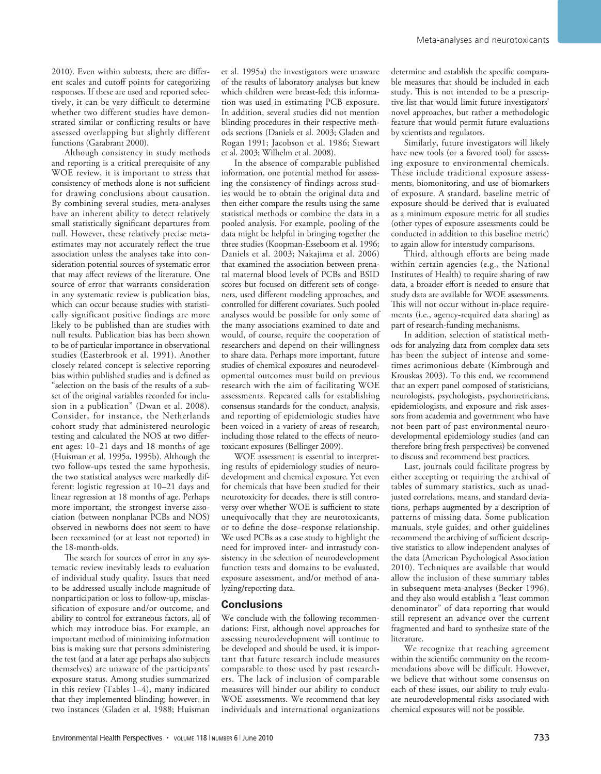2010). Even within subtests, there are different scales and cutoff points for categorizing responses. If these are used and reported selectively, it can be very difficult to determine whether two different studies have demonstrated similar or conflicting results or have assessed overlapping but slightly different functions (Garabrant 2000).

Although consistency in study methods and reporting is a critical prerequisite of any WOE review, it is important to stress that consistency of methods alone is not sufficient for drawing conclusions about causation. By combining several studies, meta-analyses have an inherent ability to detect relatively small statistically significant departures from null. However, these relatively precise metaestimates may not accurately reflect the true association unless the analyses take into consideration potential sources of systematic error that may affect reviews of the literature. One source of error that warrants consideration in any systematic review is publication bias, which can occur because studies with statistically significant positive findings are more likely to be published than are studies with null results. Publication bias has been shown to be of particular importance in observational studies (Easterbrook et al. 1991). Another closely related concept is selective reporting bias within published studies and is defined as "selection on the basis of the results of a subset of the original variables recorded for inclusion in a publication" (Dwan et al. 2008). Consider, for instance, the Netherlands cohort study that administered neurologic testing and calculated the NOS at two different ages: 10–21 days and 18 months of age (Huisman et al. 1995a, 1995b). Although the two follow-ups tested the same hypothesis, the two statistical analyses were markedly different: logistic regression at 10–21 days and linear regression at 18 months of age. Perhaps more important, the strongest inverse association (between nonplanar PCBs and NOS) observed in newborns does not seem to have been reexamined (or at least not reported) in the 18-month-olds.

The search for sources of error in any systematic review inevitably leads to evaluation of individual study quality. Issues that need to be addressed usually include magnitude of nonparticipation or loss to follow-up, misclassification of exposure and/or outcome, and ability to control for extraneous factors, all of which may introduce bias. For example, an important method of minimizing information bias is making sure that persons administering the test (and at a later age perhaps also subjects themselves) are unaware of the participants' exposure status. Among studies summarized in this review (Tables 1–4), many indicated that they implemented blinding; however, in two instances (Gladen et al. 1988; Huisman

et al. 1995a) the investigators were unaware of the results of laboratory analyses but knew which children were breast-fed; this information was used in estimating PCB exposure. In addition, several studies did not mention blinding procedures in their respective methods sections (Daniels et al. 2003; Gladen and Rogan 1991; Jacobson et al. 1986; Stewart et al. 2003; Wilhelm et al. 2008).

In the absence of comparable published information, one potential method for assessing the consistency of findings across studies would be to obtain the original data and then either compare the results using the same statistical methods or combine the data in a pooled analysis. For example, pooling of the data might be helpful in bringing together the three studies (Koopman-Esseboom et al. 1996; Daniels et al. 2003; Nakajima et al. 2006) that examined the association between prenatal maternal blood levels of PCBs and BSID scores but focused on different sets of congeners, used different modeling approaches, and controlled for different covariates. Such pooled analyses would be possible for only some of the many associations examined to date and would, of course, require the cooperation of researchers and depend on their willingness to share data. Perhaps more important, future studies of chemical exposures and neurodevelopmental outcomes must build on previous research with the aim of facilitating WOE assessments. Repeated calls for establishing consensus standards for the conduct, analysis, and reporting of epidemiologic studies have been voiced in a variety of areas of research, including those related to the effects of neurotoxicant exposures (Bellinger 2009).

WOE assessment is essential to interpreting results of epidemiology studies of neurodevelopment and chemical exposure. Yet even for chemicals that have been studied for their neurotoxicity for decades, there is still controversy over whether WOE is sufficient to state unequivocally that they are neurotoxicants, or to define the dose–response relationship. We used PCBs as a case study to highlight the need for improved inter- and intrastudy consistency in the selection of neurodevelopment function tests and domains to be evaluated, exposure assessment, and/or method of analyzing/reporting data.

### **Conclusions**

We conclude with the following recommendations: First, although novel approaches for assessing neurodevelopment will continue to be developed and should be used, it is important that future research include measures comparable to those used by past researchers. The lack of inclusion of comparable measures will hinder our ability to conduct WOE assessments. We recommend that key individuals and international organizations determine and establish the specific comparable measures that should be included in each study. This is not intended to be a prescriptive list that would limit future investigators' novel approaches, but rather a methodologic feature that would permit future evaluations by scientists and regulators.

Similarly, future investigators will likely have new tools (or a favored tool) for assessing exposure to environmental chemicals. These include traditional exposure assessments, biomonitoring, and use of biomarkers of exposure. A standard, baseline metric of exposure should be derived that is evaluated as a minimum exposure metric for all studies (other types of exposure assessments could be conducted in addition to this baseline metric) to again allow for interstudy comparisons.

Third, although efforts are being made within certain agencies (e.g., the National Institutes of Health) to require sharing of raw data, a broader effort is needed to ensure that study data are available for WOE assessments. This will not occur without in-place requirements (i.e., agency-required data sharing) as part of research-funding mechanisms.

In addition, selection of statistical methods for analyzing data from complex data sets has been the subject of intense and sometimes acrimonious debate (Kimbrough and Krouskas 2003). To this end, we recommend that an expert panel composed of statisticians, neurologists, psychologists, psychometricians, epidemiologists, and exposure and risk assessors from academia and government who have not been part of past environmental neurodevelopmental epidemiology studies (and can therefore bring fresh perspectives) be convened to discuss and recommend best practices.

Last, journals could facilitate progress by either accepting or requiring the archival of tables of summary statistics, such as unadjusted correlations, means, and standard deviations, perhaps augmented by a description of patterns of missing data. Some publication manuals, style guides, and other guidelines recommend the archiving of sufficient descriptive statistics to allow independent analyses of the data (American Psychological Association 2010). Techniques are available that would allow the inclusion of these summary tables in subsequent meta-analyses (Becker 1996), and they also would establish a "least common denominator" of data reporting that would still represent an advance over the current fragmented and hard to synthesize state of the literature.

We recognize that reaching agreement within the scientific community on the recommendations above will be difficult. However, we believe that without some consensus on each of these issues, our ability to truly evaluate neurodevelopmental risks associated with chemical exposures will not be possible.